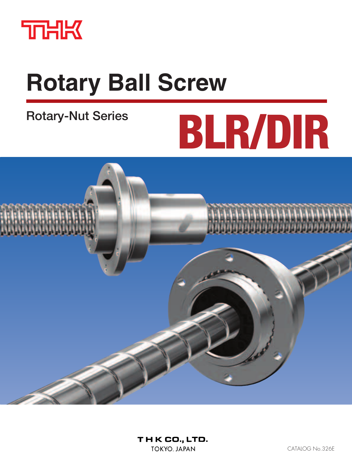

# **Rotary Ball Screw**

# **Rotary-Nut Series**

# **BLR/DIR**

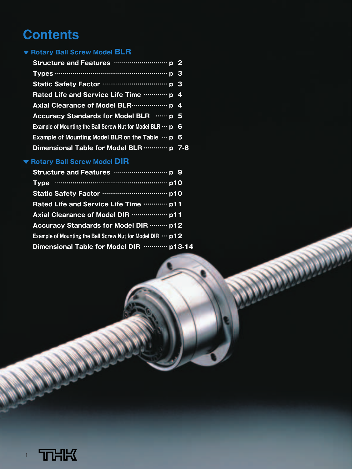# **Contents**

#### **▼ Rotary Ball Screw Model BLR**

| Rated Life and Service Life Time  p 4                             |  |
|-------------------------------------------------------------------|--|
|                                                                   |  |
| Accuracy Standards for Model BLR  p 5                             |  |
| Example of Mounting the Ball Screw Nut for Model BLR $\cdots$ p 6 |  |
| Example of Mounting Model BLR on the Table $\cdots$ p 6           |  |
| Dimensional Table for Model BLR  p 7-8                            |  |

## **▼ Rotary Ball Screw Model DIR**

| Rated Life and Service Life Time  p11                              |
|--------------------------------------------------------------------|
|                                                                    |
| Accuracy Standards for Model DIR  p12                              |
| Example of Mounting the Ball Screw Nut for Model DIR $\cdots$ p 12 |
| Dimensional Table for Model DIR  p13-14                            |

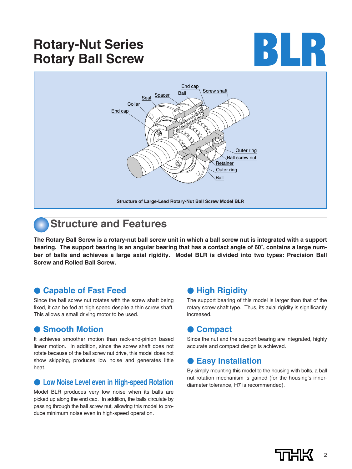# **Rotary-Nut Series Rotary-Nut Series**<br> **Rotary Ball Screw BLR**





## **Structure and Features**

**The Rotary Ball Screw is a rotary-nut ball screw unit in which a ball screw nut is integrated with a support bearing. The support bearing is an angular bearing that has a contact angle of 60˚, contains a large number of balls and achieves a large axial rigidity. Model BLR is divided into two types: Precision Ball Screw and Rolled Ball Screw.**

#### ● **Capable of Fast Feed**

Since the ball screw nut rotates with the screw shaft being fixed, it can be fed at high speed despite a thin screw shaft. This allows a small driving motor to be used.

#### **Smooth Motion**

It achieves smoother motion than rack-and-pinion based linear motion. In addition, since the screw shaft does not rotate because of the ball screw nut drive, this model does not show skipping, produces low noise and generates little heat.

#### ● Low Noise Level even in High-speed Rotation

Model BLR produces very low noise when its balls are picked up along the end cap. In addition, the balls circulate by passing through the ball screw nut, allowing this model to produce minimum noise even in high-speed operation.

#### ● **High Rigidity**

The support bearing of this model is larger than that of the rotary screw shaft type. Thus, its axial rigidity is significantly increased.

#### ● **Compact**

Since the nut and the support bearing are integrated, highly accurate and compact design is achieved.

#### ● **Easy Installation**

By simply mounting this model to the housing with bolts, a ball nut rotation mechanism is gained (for the housing's innerdiameter tolerance, H7 is recommended).

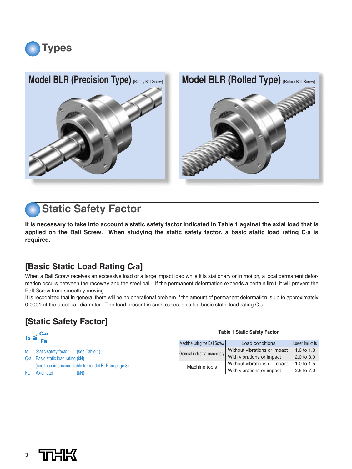

# **Static Safety Factor**

**Types**

**It is necessary to take into account a static safety factor indicated in Table 1 against the axial load that is** applied on the Ball Screw. When studying the static safety factor, a basic static load rating C<sub>0</sub>a is **required.**

## **[Basic Static Load Rating C<sub>0</sub>a]**

When a Ball Screw receives an excessive load or a large impact load while it is stationary or in motion, a local permanent deformation occurs between the raceway and the steel ball. If the permanent deformation exceeds a certain limit, it will prevent the Ball Screw from smoothly moving.

It is recognized that in general there will be no operational problem if the amount of permanent deformation is up to approximately 0.0001 of the steel ball diameter. The load present in such cases is called basic static load rating Coa.

## **[Static Safety Factor]**

| Lower limit of fs<br>Machine using the Ball Screw<br>Load conditions         |
|------------------------------------------------------------------------------|
| 1.0 to $1.3$<br>Without vibrations or impact<br>General industrial machinery |
| With vibrations or impact<br>2.0 to 3.0                                      |
| 1.0 to $1.5$<br>Without vibrations or impact                                 |
| With vibrations or impact<br>2.5 to 7.0                                      |
| Machine tools                                                                |

#### **Table 1 Static Safety Factor**

| . .<br>. .<br>_ |
|-----------------|
|                 |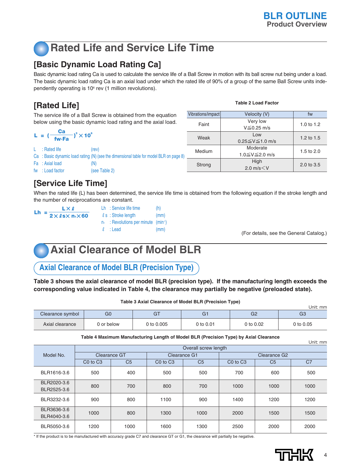# **Rated Life and Service Life Time**

## **[Basic Dynamic Load Rating Ca]**

Basic dynamic load rating Ca is used to calculate the service life of a Ball Screw in motion with its ball screw nut being under a load. The basic dynamic load rating Ca is an axial load under which the rated life of 90% of a group of the same Ball Screw units independently operating is 10<sup>6</sup> rev (1 million revolutions).

## **[Rated Life]**

The service life of a Ball Screw is obtained from the equation below using the basic dynamic load rating and the axial load.

| L = $\left(\frac{\text{Ca}}{\text{fw}\cdot\text{Fa}}\right)^3 \times 10^6$ |       |                 |                                                                                       |  |  |  |
|----------------------------------------------------------------------------|-------|-----------------|---------------------------------------------------------------------------------------|--|--|--|
|                                                                            | - L - | : Rated life    | (rev)                                                                                 |  |  |  |
|                                                                            |       |                 | Ca: Basic dynamic load rating (N) (see the dimensional table for model BLR on page 8) |  |  |  |
|                                                                            |       | Fa : Axial load | (N)                                                                                   |  |  |  |
|                                                                            |       | fw: Load factor | (see Table 2)                                                                         |  |  |  |

| Vibrations/impact | Velocity (V)             | fw                    |
|-------------------|--------------------------|-----------------------|
| Faint             | Very low                 | 1.0 to $1.2$          |
|                   | $V \leq 0.25$ m/s        |                       |
| Weak              | l ow                     | 1.2 to $1.5$          |
|                   | $0.25 \le V \le 1.0$ m/s |                       |
| Medium            | Moderate                 | 1.5 to $2.0$          |
|                   | 1.0≦V≦2.0 m/s            |                       |
| Strong            | High                     | $2.0 \text{ to } 3.5$ |
|                   | 2.0 $m/s < V$            |                       |

**Table 2 Load Factor**

## **[Service Life Time]**

When the rated life (L) has been determined, the service life time is obtained from the following equation if the stroke length and the number of reciprocations are constant.

| L×e                                                   | Lh: Service life time                               | (h)  |
|-------------------------------------------------------|-----------------------------------------------------|------|
| Lh = $\frac{1}{2 \times \ell s \times n_1 \times 60}$ | $\ell$ s: Stroke length                             | (mm) |
|                                                       | $n_i$ : Revolutions per minute (min <sup>-1</sup> ) |      |
|                                                       | $\ell$ : Lead                                       | (mm) |
|                                                       |                                                     |      |

(For details, see the General Catalog.)

# **Axial Clearance of Model BLR**

**Axial Clearance of Model BLR (Precision Type)**

**Table 3 shows the axial clearance of model BLR (precision type). If the manufacturing length exceeds the corresponding value indicated in Table 4, the clearance may partially be negative (preloaded state).**

|                  |                |            |             | . .       | Unit: mm       |
|------------------|----------------|------------|-------------|-----------|----------------|
| Clearance symbol | G <sub>0</sub> |            | G1          | G2        | G <sub>3</sub> |
| Axial clearance  | 0 or below     | 0 to 0.005 | 0 to $0.01$ | 0 to 0.02 | 0 to 0.05      |

**Table 3 Axial Clearance of Model BLR (Precision Type)**

**Table 4 Maximum Manufacturing Length of Model BLR (Precision Type) by Axial Clearance**

|                            |                                  |                |                                  |                |                                  |                | Unit: mm       |  |
|----------------------------|----------------------------------|----------------|----------------------------------|----------------|----------------------------------|----------------|----------------|--|
|                            | Overall screw length             |                |                                  |                |                                  |                |                |  |
| Model No.                  | Clearance GT                     |                | Clearance G1                     |                |                                  |                |                |  |
|                            | C <sub>0</sub> to C <sub>3</sub> | C <sub>5</sub> | C <sub>0</sub> to C <sub>3</sub> | C <sub>5</sub> | C <sub>0</sub> to C <sub>3</sub> | C <sub>5</sub> | C <sub>7</sub> |  |
| BLR1616-3.6                | 500                              | 400            | 500                              | 500            | 700                              | 600            | 500            |  |
| BLR2020-3.6<br>BLR2525-3.6 | 800                              | 700            | 800                              | 700            | 1000                             | 1000           | 1000           |  |
| BLR3232-3.6                | 900                              | 800            | 1100                             | 900            | 1400                             | 1200           | 1200           |  |
| BLR3636-3.6<br>BLR4040-3.6 | 1000                             | 800            | 1300                             | 1000           | 2000                             | 1500           | 1500           |  |
| BLR5050-3.6                | 1200                             | 1000           | 1600                             | 1300           | 2500                             | 2000           | 2000           |  |

\* If the product is to be manufactured with accuracy grade C7 and clearance GT or G1, the clearance will partially be negative.

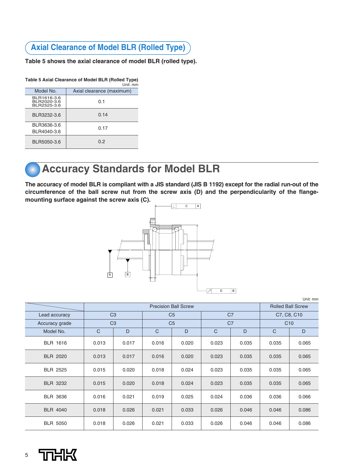## **Axial Clearance of Model BLR (Rolled Type)**

**Table 5 shows the axial clearance of model BLR (rolled type).** 

| Table 5 Axial Clearance of Model BLR (Rolled Type) |  |          |
|----------------------------------------------------|--|----------|
|                                                    |  | Unit: mm |

|  |                                           | <u>UHL.HII</u>            |
|--|-------------------------------------------|---------------------------|
|  | Model No.                                 | Axial clearance (maximum) |
|  | BLR1616-3.6<br>BLR2020-3.6<br>BLR2525-3.6 | 0.1                       |
|  | BLR3232-3.6                               | 0.14                      |
|  | BLR3636-3.6<br>BLR4040-3.6                | 0.17                      |
|  | BLR5050-3.6                               | 0.2                       |

## **Accuracy Standards for Model BLR**

**The accuracy of model BLR is compliant with a JIS standard (JIS B 1192) except for the radial run-out of the circumference of the ball screw nut from the screw axis (D) and the perpendicularity of the flangemounting surface against the screw axis (C).**



|                 |                                                                      |       |                |                |                    |                          |              | Unit: mm |
|-----------------|----------------------------------------------------------------------|-------|----------------|----------------|--------------------|--------------------------|--------------|----------|
|                 | <b>Precision Ball Screw</b>                                          |       |                |                |                    | <b>Rolled Ball Screw</b> |              |          |
| Lead accuracy   | C <sub>3</sub><br>C <sub>5</sub><br>C <sub>3</sub><br>C <sub>5</sub> |       |                | C <sub>7</sub> | C7, C8, C10<br>C10 |                          |              |          |
| Accuracy grade  |                                                                      |       | C <sub>7</sub> |                |                    |                          |              |          |
| Model No.       | $\mathsf{C}$                                                         | D     | $\mathsf{C}$   | D              | $\mathsf{C}$       | D                        | $\mathsf{C}$ | D        |
| <b>BLR 1616</b> | 0.013                                                                | 0.017 | 0.016          | 0.020          | 0.023              | 0.035                    | 0.035        | 0.065    |
| <b>BLR 2020</b> | 0.013                                                                | 0.017 | 0.016          | 0.020          | 0.023              | 0.035                    | 0.035        | 0.065    |
| <b>BLR 2525</b> | 0.015                                                                | 0.020 | 0.018          | 0.024          | 0.023              | 0.035                    | 0.035        | 0.065    |
| <b>BLR 3232</b> | 0.015                                                                | 0.020 | 0.018          | 0.024          | 0.023              | 0.035                    | 0.035        | 0.065    |
| <b>BLR 3636</b> | 0.016                                                                | 0.021 | 0.019          | 0.025          | 0.024              | 0.036                    | 0.036        | 0.066    |
| <b>BLR 4040</b> | 0.018                                                                | 0.026 | 0.021          | 0.033          | 0.026              | 0.046                    | 0.046        | 0.086    |
| <b>BLR 5050</b> | 0.018                                                                | 0.026 | 0.021          | 0.033          | 0.026              | 0.046                    | 0.046        | 0.086    |

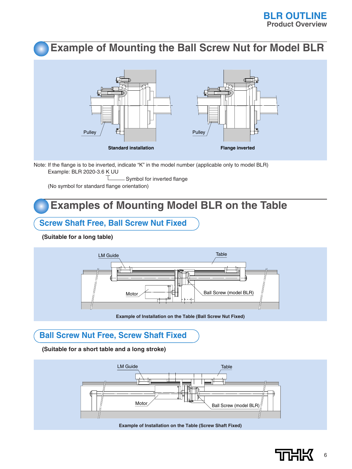## **Example of Mounting the Ball Screw Nut for Model BLR**



Note: If the flange is to be inverted, indicate "K" in the model number (applicable only to model BLR) Example: BLR 2020-3.6 K UU

τ Symbol for inverted flange

(No symbol for standard flange orientation)

## **Examples of Mounting Model BLR on the Table**

#### **Screw Shaft Free, Ball Screw Nut Fixed**

**(Suitable for a long table)**



## **Ball Screw Nut Free, Screw Shaft Fixed**

**(Suitable for a short table and a long stroke)**



**Example of Installation on the Table (Screw Shaft Fixed)**

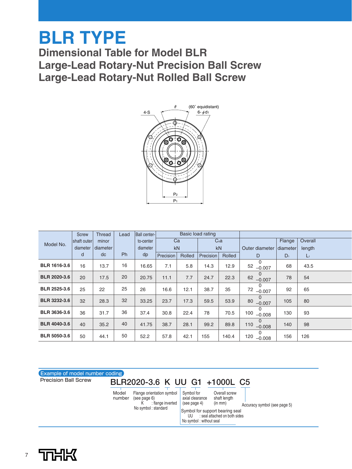# **BLR TYPE**

**Dimensional Table for Model BLR Large-Lead Rotary-Nut Precision Ball Screw Large-Lead Rotary-Nut Rolled Ball Screw**



|                     | <b>Screw</b> | <b>Thread</b> | Lead      | Ball center- |           |        | Basic load rating |                  |                             |          |         |
|---------------------|--------------|---------------|-----------|--------------|-----------|--------|-------------------|------------------|-----------------------------|----------|---------|
| Model No.           | shaft outer  | minor         |           | to-center    | Ca        |        |                   | C <sub>0</sub> a |                             | Flange   | Overall |
|                     | diameter     | diameter      |           | diameter     |           | kN     |                   | kN               | Outer diameter              | diameter | length  |
|                     | d            | dc            | <b>Ph</b> | dp           | Precision | Rolled | Precision         | Rolled           | D                           | $D_1$    | $L_1$   |
| <b>BLR 1616-3.6</b> | 16           | 13.7          | 16        | 16.65        | 7.1       | 5.8    | 14.3              | 12.9             | $\Omega$<br>52<br>$-0.007$  | 68       | 43.5    |
| <b>BLR 2020-3.6</b> | 20           | 17.5          | 20        | 20.75        | 11.1      | 7.7    | 24.7              | 22.3             | 0<br>62<br>$-0.007$         | 78       | 54      |
| <b>BLR 2525-3.6</b> | 25           | 22            | 25        | 26           | 16.6      | 12.1   | 38.7              | 35               | 0<br>72<br>$-0.007$         | 92       | 65      |
| <b>BLR 3232-3.6</b> | 32           | 28.3          | 32        | 33.25        | 23.7      | 17.3   | 59.5              | 53.9             | $\Omega$<br>80<br>$-0.007$  | 105      | 80      |
| <b>BLR 3636-3.6</b> | 36           | 31.7          | 36        | 37.4         | 30.8      | 22.4   | 78                | 70.5             | 0<br>100<br>$-0.008$        | 130      | 93      |
| <b>BLR 4040-3.6</b> | 40           | 35.2          | 40        | 41.75        | 38.7      | 28.1   | 99.2              | 89.8             | $\Omega$<br>110<br>$-0.008$ | 140      | 98      |
| <b>BLR 5050-3.6</b> | 50           | 44.1          | 50        | 52.2         | 57.8      | 42.1   | 155               | 140.4            | 0<br>120<br>$-0.008$        | 156      | 126     |



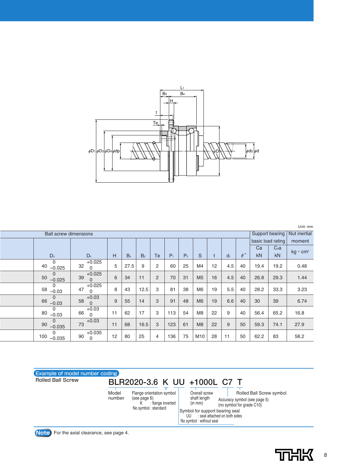

|                               |                            |    |                |                |                |       |                |                |    |                |                     |                   |      | Unit: mm        |
|-------------------------------|----------------------------|----|----------------|----------------|----------------|-------|----------------|----------------|----|----------------|---------------------|-------------------|------|-----------------|
| <b>Ball screw dimensions</b>  |                            |    |                |                |                |       |                |                |    |                |                     |                   |      |                 |
|                               |                            |    |                |                |                |       |                |                |    |                |                     | basic load rating |      | moment          |
|                               |                            |    |                |                |                |       |                |                |    |                |                     | Ca                | Coa  | $kg \cdot cm^2$ |
| $D_3$                         | D <sub>4</sub>             | H  | B <sub>4</sub> | B <sub>5</sub> | Тe             | $P_1$ | P <sub>2</sub> | S              |    | d <sub>1</sub> | $\theta$ $^{\circ}$ | kN                | kN   |                 |
| $\Omega$<br>40<br>$-0.025$    | $+0.025$<br>32<br>0        | 5  | 27.5           | 9              | $\overline{c}$ | 60    | 25             | M4             | 12 | 4.5            | 40                  | 19.4              | 19.2 | 0.48            |
| $\mathbf 0$<br>50<br>$-0.025$ | $+0.025$<br>39<br>$\Omega$ | 6  | 34             | 11             | $\overline{2}$ | 70    | 31             | M <sub>5</sub> | 16 | 4.5            | 40                  | 26.8              | 29.3 | 1.44            |
| 0<br>58<br>$-0.03$            | $+0.025$<br>47<br>0        | 8  | 43             | 12.5           | 3              | 81    | 38             | M6             | 19 | 5.5            | 40                  | 28.2              | 33.3 | 3.23            |
| $\Omega$<br>66<br>$-0.03$     | $+0.03$<br>58<br>$\Omega$  | 9  | 55             | 14             | 3              | 91    | 48             | M <sub>6</sub> | 19 | 6.6            | 40                  | 30                | 39   | 6.74            |
| $\Omega$<br>80<br>$-0.03$     | $+0.03$<br>66<br>$\Omega$  | 11 | 62             | 17             | 3              | 113   | 54             | M <sub>8</sub> | 22 | 9              | 40                  | 56.4              | 65.2 | 16.8            |
| $\mathbf 0$<br>90<br>$-0.035$ | $+0.03$<br>73              | 11 | 68             | 16.5           | 3              | 123   | 61             | M8             | 22 | 9              | 50                  | 59.3              | 74.1 | 27.9            |
| 0<br>100<br>$-0.035$          | $+0.035$<br>90<br>$\Omega$ | 12 | 80             | 25             | $\overline{4}$ | 136   | 75             | M10            | 28 | 11             | 50                  | 62.2              | 83   | 58.2            |



**Note** For the axial clearance, see page 4.

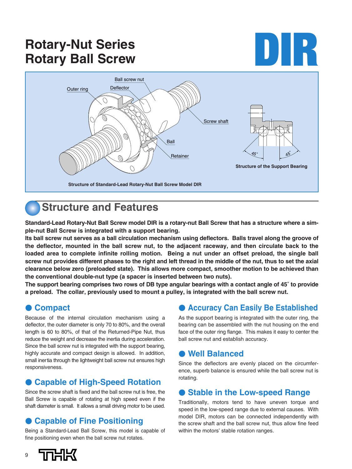# **Rotary-Nut Series Rotary-Nut Series**<br> **Rotary Ball Screw DIR**



## **Structure and Features**

**Standard-Lead Rotary-Nut Ball Screw model DIR is a rotary-nut Ball Screw that has a structure where a simple-nut Ball Screw is integrated with a support bearing.**

**Its ball screw nut serves as a ball circulation mechanism using deflectors. Balls travel along the groove of the deflector, mounted in the ball screw nut, to the adjacent raceway, and then circulate back to the loaded area to complete infinite rolling motion. Being a nut under an offset preload, the single ball screw nut provides different phases to the right and left thread in the middle of the nut, thus to set the axial clearance below zero (preloaded state). This allows more compact, smoother motion to be achieved than the conventional double-nut type (a spacer is inserted between two nuts).**

**The support bearing comprises two rows of DB type angular bearings with a contact angle of 45˚ to provide a preload. The collar, previously used to mount a pulley, is integrated with the ball screw nut.**

#### ● **Compact**

Because of the internal circulation mechanism using a deflector, the outer diameter is only 70 to 80%, and the overall length is 60 to 80%, of that of the Returned-Pipe Nut, thus reduce the weight and decrease the inertia during acceleration. Since the ball screw nut is integrated with the support bearing, highly accurate and compact design is allowed. In addition, small inertia through the lightweight ball screw nut ensures high responsiveness.

#### ● Capable of High-Speed Rotation

Since the screw shaft is fixed and the ball screw nut is free, the Ball Screw is capable of rotating at high speed even if the shaft diameter is small. It allows a small driving motor to be used.

## ● Capable of Fine Positioning

Being a Standard-Lead Ball Screw, this model is capable of fine positioning even when the ball screw nut rotates.

#### ● **Accuracy Can Easily Be Established**

As the support bearing is integrated with the outer ring, the bearing can be assembled with the nut housing on the end face of the outer ring flange. This makes it easy to center the ball screw nut and establish accuracy.

#### ● **Well Balanced**

Since the deflectors are evenly placed on the circumference, superb balance is ensured while the ball screw nut is rotating.

#### ● Stable in the Low-speed Range

Traditionally, motors tend to have uneven torque and speed in the low-speed range due to external causes. With model DIR, motors can be connected independently with the screw shaft and the ball screw nut, thus allow fine feed within the motors' stable rotation ranges.

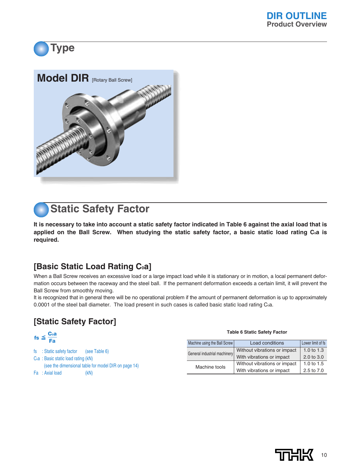





**It is necessary to take into account a static safety factor indicated in Table 6 against the axial load that is** applied on the Ball Screw. When studying the static safety factor, a basic static load rating C<sub>0</sub>a is **required.**

## **[Basic Static Load Rating C<sub>0</sub>a]**

When a Ball Screw receives an excessive load or a large impact load while it is stationary or in motion, a local permanent deformation occurs between the raceway and the steel ball. If the permanent deformation exceeds a certain limit, it will prevent the Ball Screw from smoothly moving.

It is recognized that in general there will be no operational problem if the amount of permanent deformation is up to approximately 0.0001 of the steel ball diameter. The load present in such cases is called basic static load rating C<sub>o</sub>a.

## **[Static Safety Factor]**

| fs $\leq \frac{C_0a}{Fa}$                            | <b>Table 6 Static Safety Factor</b> |                              |                       |  |  |  |  |  |
|------------------------------------------------------|-------------------------------------|------------------------------|-----------------------|--|--|--|--|--|
|                                                      | Machine using the Ball Screw        | Load conditions              | Lower limit of fs     |  |  |  |  |  |
| fs : Static safety factor<br>(see Table 6)           | General industrial machinery        | Without vibrations or impact | 1.0 to $1.3$          |  |  |  |  |  |
| Coa : Basic static load rating (kN)                  |                                     | With vibrations or impact    | $2.0 \text{ to } 3.0$ |  |  |  |  |  |
| (see the dimensional table for model DIR on page 14) | Machine tools                       | Without vibrations or impact | 1.0 to $1.5$          |  |  |  |  |  |
| Fa : Axial load<br>(kN)                              |                                     | With vibrations or impact    | 2.5 to 7.0            |  |  |  |  |  |
|                                                      |                                     |                              |                       |  |  |  |  |  |

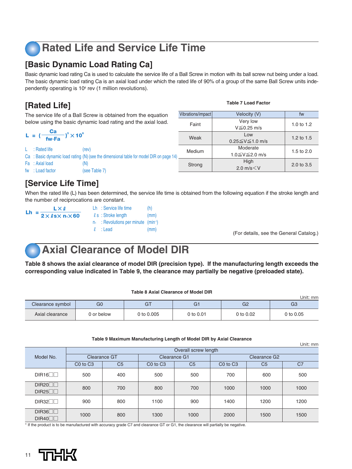# **Rated Life and Service Life Time**

## **[Basic Dynamic Load Rating Ca]**

Basic dynamic load rating Ca is used to calculate the service life of a Ball Screw in motion with its ball screw nut being under a load. The basic dynamic load rating Ca is an axial load under which the rated life of 90% of a group of the same Ball Screw units independently operating is 10<sup>6</sup> rev (1 million revolutions).

## **[Rated Life]**

The service life of a Ball Screw is obtained from the equation below using the basic dynamic load rating and the axial load.

|                                                |                                                                                         |        | $V \geq 0.25$ m/s        |  |  |
|------------------------------------------------|-----------------------------------------------------------------------------------------|--------|--------------------------|--|--|
| $V_1 = (\frac{Ca}{fw \cdot Fa})^3 \times 10^6$ |                                                                                         | Weak   | Low                      |  |  |
|                                                |                                                                                         |        | $0.25 \le V \le 1.0$ m/s |  |  |
| : Rated life                                   | (rev)                                                                                   | Medium | Moderate                 |  |  |
|                                                | Ca : Basic dynamic load rating (N) (see the dimensional table for model DIR on page 14) |        | 1.0≦V≦2.0 m/s            |  |  |
| Fa : Axial load                                | (N)                                                                                     | Strong | High                     |  |  |
| fw : Load factor                               | (see Table 7)                                                                           |        | 2.0 $m/s < V$            |  |  |
|                                                |                                                                                         |        |                          |  |  |

#### **[Service Life Time]**

When the rated life (L) has been determined, the service life time is obtained from the following equation if the stroke length and the number of reciprocations are constant.

| <b>LX</b>                                             | Lh: Service life time                               | (h)  |
|-------------------------------------------------------|-----------------------------------------------------|------|
| Lh = $\frac{1}{2 \times \ell s \times n_1 \times 60}$ | $\ell$ s: Stroke length                             | (mm) |
|                                                       | $n_i$ : Revolutions per minute (min <sup>-1</sup> ) |      |
|                                                       | $\ell$ : Lead                                       | (mm) |

(For details, see the General Catalog.)

2.0 to 3.5

Unit: mm

## **Axial Clearance of Model DIR**

**Table 8 shows the axial clearance of model DIR (precision type). If the manufacturing length exceeds the corresponding value indicated in Table 9, the clearance may partially be negative (preloaded state).**

| <b>Table 8 Axial Clearance of Model DIR</b> |                |            |             |                |                |  |  |  |  |  |  |  |  |
|---------------------------------------------|----------------|------------|-------------|----------------|----------------|--|--|--|--|--|--|--|--|
| Unit: mm                                    |                |            |             |                |                |  |  |  |  |  |  |  |  |
| Clearance symbol                            | G <sub>0</sub> | GT         | G1          | G <sub>2</sub> | G <sub>3</sub> |  |  |  |  |  |  |  |  |
| Axial clearance                             | 0 or below     | 0 to 0.005 | 0 to $0.01$ | 0 to 0.02      | 0 to 0.05      |  |  |  |  |  |  |  |  |

#### **Table 9 Maximum Manufacturing Length of Model DIR by Axial Clearance**

|                |                                  |                |                                  |                |                                  |                | UNIU: MIN |  |  |  |  |  |
|----------------|----------------------------------|----------------|----------------------------------|----------------|----------------------------------|----------------|-----------|--|--|--|--|--|
|                | Overall screw length             |                |                                  |                |                                  |                |           |  |  |  |  |  |
| Model No.      | <b>Clearance GT</b>              |                | Clearance G1                     |                | Clearance G <sub>2</sub>         |                |           |  |  |  |  |  |
|                | C <sub>0</sub> to C <sub>3</sub> | C <sub>5</sub> | C <sub>0</sub> to C <sub>3</sub> | C <sub>5</sub> | C <sub>0</sub> to C <sub>3</sub> | C <sub>5</sub> | C7        |  |  |  |  |  |
| DIR16          | 500                              | 400            | 500                              | 500            | 700                              | 600            | 500       |  |  |  |  |  |
| DIR20<br>DIR25 | 800                              | 700            | 800                              | 700            | 1000                             | 1000           | 1000      |  |  |  |  |  |
| DIR32          | 900                              | 800            | 1100                             | 900            | 1400                             | 1200           | 1200      |  |  |  |  |  |
| DIR36<br>DIR40 | 1000                             | 800            | 1300                             | 1000           | 2000                             | 1500           | 1500      |  |  |  |  |  |

\* If the product is to be manufactured with accuracy grade C7 and clearance GT or G1, the clearance will partially be negative.



#### Vibrations/impact Velocity (V) fw Faint 1.0 to 1.2 1.2 to 1.5 1.5 to 2.0 Very low  $V < 0.25$  m/s

**Table 7 Load Factor**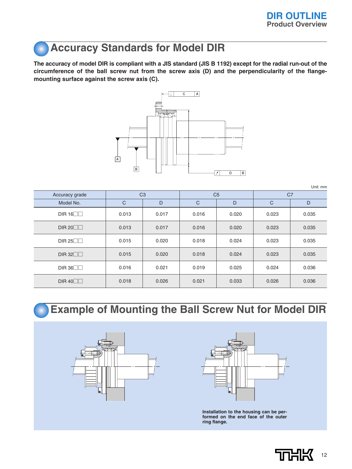# **Accuracy Standards for Model DIR**

**The accuracy of model DIR is compliant with a JIS standard (JIS B 1192) except for the radial run-out of the circumference of the ball screw nut from the screw axis (D) and the perpendicularity of the flangemounting surface against the screw axis (C).**



Unit: mm

| Accuracy grade  |              | C <sub>3</sub> |              | C <sub>5</sub> | C <sub>7</sub> |       |  |
|-----------------|--------------|----------------|--------------|----------------|----------------|-------|--|
| Model No.       | $\mathsf{C}$ | D              | $\mathsf{C}$ | D              | $\mathsf{C}$   | D     |  |
| DIR $16$        | 0.013        | 0.017          | 0.016        | 0.020          | 0.023          | 0.035 |  |
| DIR 20 $\neg$   | 0.013        | 0.017          | 0.016        | 0.020          | 0.023          | 0.035 |  |
| DIR 25 $\neg$   | 0.015        | 0.020          | 0.018        | 0.024          | 0.023          | 0.035 |  |
| DIR $32\square$ | 0.015        | 0.020          | 0.018        | 0.024          | 0.023          | 0.035 |  |
| DIR 36          | 0.016        | 0.021          | 0.019        | 0.025          | 0.024          | 0.036 |  |
| DIR $40\square$ | 0.018        | 0.026          | 0.021        | 0.033          | 0.026          | 0.036 |  |

## **Example of Mounting the Ball Screw Nut for Model DIR**





**Installation to the housing can be performed on the end face of the outer ring flange.**

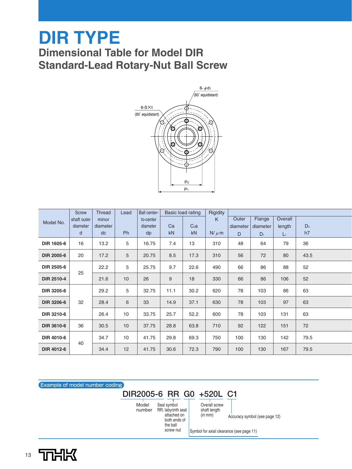# **DIR TYPE Dimensional Table for Model DIR Standard-Lead Rotary-Nut Ball Screw**



|                   | Screw       | <b>Thread</b> | Lead | Ball center- |      | Basic load rating | Rigidity  |          |          |         |       |
|-------------------|-------------|---------------|------|--------------|------|-------------------|-----------|----------|----------|---------|-------|
| Model No.         | shaft outer | minor         |      | to-center    |      |                   | K         | Outer    | Flange   | Overall |       |
|                   | diameter    | diameter      |      | diameter     | Ca   | C <sub>0</sub> a  |           | diameter | diameter | length  | $D_3$ |
|                   | d           | dc            | Ph   | dp           | kN   | kN                | $N/\mu$ m | D        | $D_1$    | $L_1$   | h7    |
| <b>DIR 1605-6</b> | 16          | 13.2          | 5    | 16.75        | 7.4  | 13                | 310       | 48       | 64       | 79      | 36    |
| <b>DIR 2005-6</b> | 20          | 17.2          | 5    | 20.75        | 8.5  | 17.3              | 310       | 56       | 72       | 80      | 43.5  |
| DIR 2505-6        | 25          | 22.2          | 5    | 25.75        | 9.7  | 22.6              | 490       | 66       | 86       | 88      | 52    |
| <b>DIR 2510-4</b> |             | 21.6          | 10   | 26           | 9    | 18                | 330       | 66       | 86       | 106     | 52    |
| DIR 3205-6        |             | 29.2          | 5    | 32.75        | 11.1 | 30.2              | 620       | 78       | 103      | 86      | 63    |
| <b>DIR 3206-6</b> | 32          | 28.4          | 6    | 33           | 14.9 | 37.1              | 630       | 78       | 103      | 97      | 63    |
| DIR 3210-6        |             | 26.4          | 10   | 33.75        | 25.7 | 52.2              | 600       | 78       | 103      | 131     | 63    |
| <b>DIR 3610-6</b> | 36          | 30.5          | 10   | 37.75        | 28.8 | 63.8              | 710       | 92       | 122      | 151     | 72    |
| DIR 4010-6        | 40          | 34.7          | 10   | 41.75        | 29.8 | 69.3              | 750       | 100      | 130      | 142     | 79.5  |
| <b>DIR 4012-6</b> |             | 34.4          | 12   | 41.75        | 30.6 | 72.3              | 790       | 100      | 130      | 167     | 79.5  |

Example of model number coding

## **DIR2005-6 RR G0 +520L C1**

Model number RR: labyrinth seal Seal symbol attached on both ends of the ball

Overall screw shaft length (in mm)

Accuracy symbol (see page 12)

screw nut

Symbol for axial clearance (see page 11)

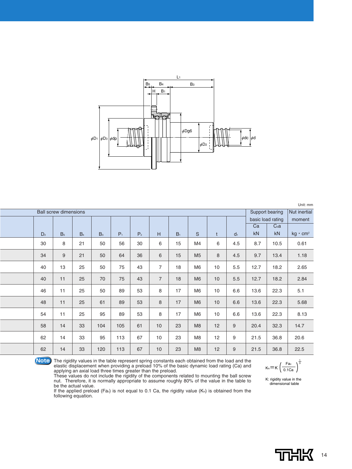

|                | Support bearing |                | Nut inertial                 |       |                |                |                |                |    |                |      |                  |                   |
|----------------|-----------------|----------------|------------------------------|-------|----------------|----------------|----------------|----------------|----|----------------|------|------------------|-------------------|
|                |                 |                |                              |       |                |                |                |                |    |                |      |                  | moment            |
|                |                 |                |                              |       |                |                |                |                |    |                | Ca   | C <sub>0</sub> a |                   |
| D <sub>2</sub> | B <sub>5</sub>  | B <sub>4</sub> | B <sub>3</sub>               | $P_1$ | P <sub>2</sub> | H              | B <sub>1</sub> | $\mathsf S$    | t  | d <sub>1</sub> | kN   | kN               | $kg \cdot cm^2$   |
| 30             | 8               | 21             | 50                           | 56    | 30             | 6              | 15             | M4             | 6  | 4.5            | 8.7  | 10.5             | 0.61              |
| 34             | 9               | 21             | 50                           | 64    | 36             | 6              | 15             | M <sub>5</sub> | 8  | 4.5            | 9.7  | 13.4             | 1.18              |
| 40             | 13              | 25             | 50                           | 75    | 43             | $\overline{7}$ | 18             | M <sub>6</sub> | 10 | 5.5            | 12.7 | 18.2             | 2.65              |
| 40             | 11              | 25             | 70                           | 75    | 43             | 7              | 18             | M <sub>6</sub> | 10 | $5.5\,$        | 12.7 | 18.2             | 2.84              |
| 46             | 11              | 25             | 50                           | 89    | 53             | 8              | 17             | M <sub>6</sub> | 10 | 6.6            | 13.6 | 22.3             | 5.1               |
| 48             | 11              | 25             | 61                           | 89    | 53             | 8              | 17             | M <sub>6</sub> | 10 | 6.6            | 13.6 | 22.3             | 5.68              |
| 54             | 11              | 25             | 95                           | 89    | 53             | 8              | 17             | M <sub>6</sub> | 10 | 6.6            | 13.6 | 22.3             | 8.13              |
| 58             | 14              | 33             | 104                          | 105   | 61             | 10             | 23             | M <sub>8</sub> | 12 | $9$            | 20.4 | 32.3             | 14.7              |
| 62             | 14              | 33             | 95                           | 113   | 67             | 10             | 23             | M <sub>8</sub> | 12 | 9              | 21.5 | 36.8             | 20.6              |
| 62             | 14              | 33             | 120                          | 113   | 67             | 10             | 23             | M8             | 12 | $9$            | 21.5 | 36.8             | 22.5              |
|                |                 |                | <b>Ball screw dimensions</b> |       |                |                |                |                |    |                |      |                  | basic load rating |



**Note** The rigidity values in the table represent spring constants each obtained from the load and the elastic displacement when providing a preload 10% of the basic dynamic load rating (Ca) and  $\kappa = \kappa \left( \frac{Fa}{\kappa}\right)^{\frac{1$ applying an axial load three times greater than the preload.

These values do not include the rigidity of the components related to mounting the ball screw nut. Therefore, it is normally appropriate to assume roughly 80% of the value in the table to be the actual value.

If the applied preload (Fa $_0$ ) is not equal to 0.1 Ca, the rigidity value (K<sub>N</sub>) is obtained from the following equation.

 $K_N = K \left( \frac{Fa_0}{0.1Ca} \right)^3$ 

K: rigidity value in the dimensional table